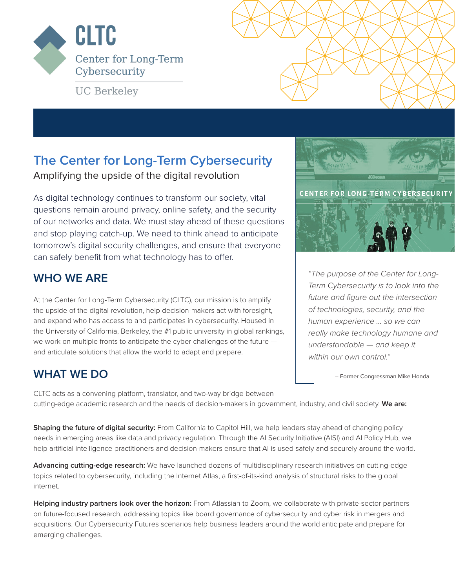

**UC Berkeley** 

## **The Center for Long-Term Cybersecurity**

Amplifying the upside of the digital revolution

As digital technology continues to transform our society, vital questions remain around privacy, online safety, and the security of our networks and data. We must stay ahead of these questions and stop playing catch-up. We need to think ahead to anticipate tomorrow's digital security challenges, and ensure that everyone can safely benefit from what technology has to offer.

#### **WHO WE ARE**

At the Center for Long-Term Cybersecurity (CLTC), our mission is to amplify the upside of the digital revolution, help decision-makers act with foresight, and expand who has access to and participates in cybersecurity. Housed in the University of California, Berkeley, the #1 public university in global rankings, we work on multiple fronts to anticipate the cyber challenges of the future and articulate solutions that allow the world to adapt and prepare.

#### **WHAT WE DO**

**CENTER FOR LONG-TERM CYBERSECURITY** 

*"The purpose of the Center for Long-Term Cybersecurity is to look into the future and figure out the intersection of technologies, security, and the human experience ... so we can really make technology humane and understandable — and keep it within our own control."*

– Former Congressman Mike Honda

CLTC acts as a convening platform, translator, and two-way bridge between cutting-edge academic research and the needs of decision-makers in government, industry, and civil society. **We are:**

**Shaping the future of digital security:** From California to Capitol Hill, we help leaders stay ahead of changing policy needs in emerging areas like data and privacy regulation. Through the AI Security Initiative (AISI) and AI Policy Hub, we help artificial intelligence practitioners and decision-makers ensure that AI is used safely and securely around the world.

**Advancing cutting-edge research:** We have launched dozens of multidisciplinary research initiatives on cutting-edge topics related to cybersecurity, including the Internet Atlas, a first-of-its-kind analysis of structural risks to the global internet.

**Helping industry partners look over the horizon:** From Atlassian to Zoom, we collaborate with private-sector partners on future-focused research, addressing topics like board governance of cybersecurity and cyber risk in mergers and acquisitions. Our Cybersecurity Futures scenarios help business leaders around the world anticipate and prepare for emerging challenges.